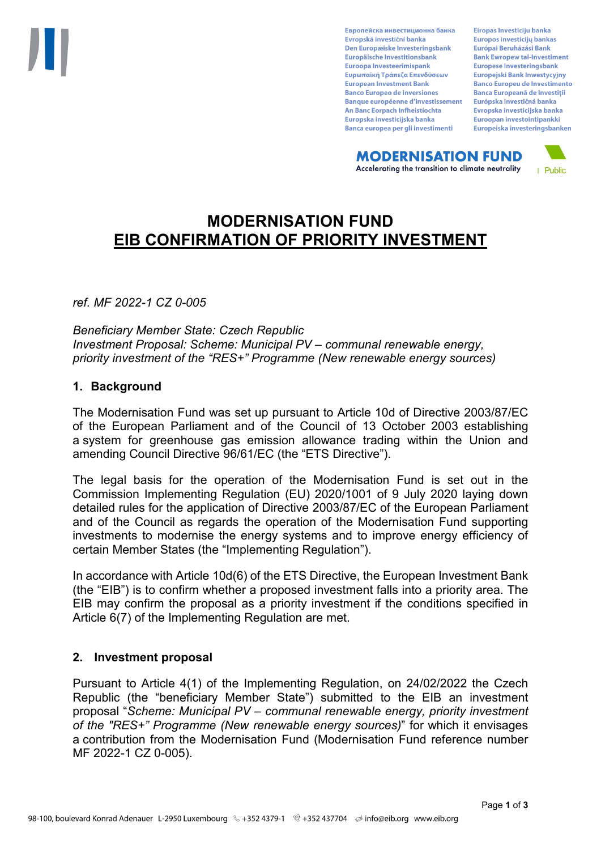Европейска инвестиционна банка Evropská investiční banka Den Europæiske Investeringsbank Europäische Investitionsbank Euroopa Investeerimispank Ευρωπαϊκή Τράπεζα Επενδύσεων **European Investment Bank Banco Europeo de Inversiones Banque européenne d'investissement** An Banc Eorpach Infheistíochta Europska investicijska banka Banca europea per gli investimenti

Eiropas Investīciju banka Europos investicijų bankas Európai Beruházási Bank **Bank Ewropew tal-Investiment** Europese Investeringsbank **Europeiski Bank Inwestycviny Banco Europeu de Investimento Banca Europeană de Investiții** Európska investičná banka Evropska investicijska banka Euroopan investointipankki Europeiska investeringsbanken

**MODERNISATION FUND** Accelerating the transition to climate neutrality



# **MODERNISATION FUND EIB CONFIRMATION OF PRIORITY INVESTMENT**

*ref. MF 2022-1 CZ 0-005*

*Beneficiary Member State: Czech Republic Investment Proposal: Scheme: Municipal PV – communal renewable energy, priority investment of the "RES+" Programme (New renewable energy sources)*

## **1. Background**

The Modernisation Fund was set up pursuant to Article 10d of Directive 2003/87/EC of the European Parliament and of the Council of 13 October 2003 establishing a system for greenhouse gas emission allowance trading within the Union and amending Council Directive 96/61/EC (the "ETS Directive").

The legal basis for the operation of the Modernisation Fund is set out in the Commission Implementing Regulation (EU) 2020/1001 of 9 July 2020 laying down detailed rules for the application of Directive 2003/87/EC of the European Parliament and of the Council as regards the operation of the Modernisation Fund supporting investments to modernise the energy systems and to improve energy efficiency of certain Member States (the "Implementing Regulation").

In accordance with Article 10d(6) of the ETS Directive, the European Investment Bank (the "EIB") is to confirm whether a proposed investment falls into a priority area. The EIB may confirm the proposal as a priority investment if the conditions specified in Article 6(7) of the Implementing Regulation are met.

## **2. Investment proposal**

Pursuant to Article 4(1) of the Implementing Regulation, on 24/02/2022 the Czech Republic (the "beneficiary Member State") submitted to the EIB an investment proposal "*Scheme: Municipal PV – communal renewable energy, priority investment of the "RES+" Programme (New renewable energy sources)*" for which it envisages a contribution from the Modernisation Fund (Modernisation Fund reference number MF 2022-1 CZ 0-005).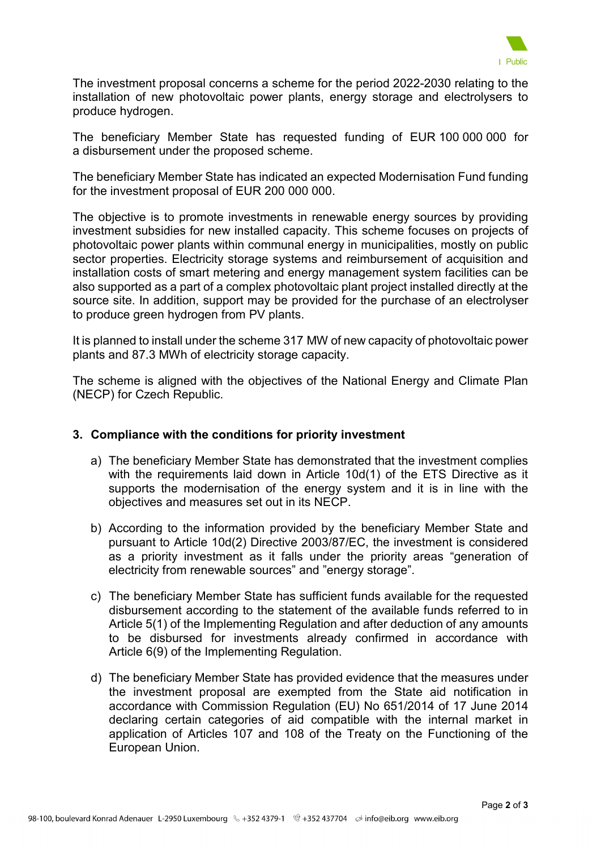

The investment proposal concerns a scheme for the period 2022-2030 relating to the installation of new photovoltaic power plants, energy storage and electrolysers to produce hydrogen.

The beneficiary Member State has requested funding of EUR 100 000 000 for a disbursement under the proposed scheme.

The beneficiary Member State has indicated an expected Modernisation Fund funding for the investment proposal of EUR 200 000 000.

The objective is to promote investments in renewable energy sources by providing investment subsidies for new installed capacity. This scheme focuses on projects of photovoltaic power plants within communal energy in municipalities, mostly on public sector properties. Electricity storage systems and reimbursement of acquisition and installation costs of smart metering and energy management system facilities can be also supported as a part of a complex photovoltaic plant project installed directly at the source site. In addition, support may be provided for the purchase of an electrolyser to produce green hydrogen from PV plants.

It is planned to install under the scheme 317 MW of new capacity of photovoltaic power plants and 87.3 MWh of electricity storage capacity.

The scheme is aligned with the objectives of the National Energy and Climate Plan (NECP) for Czech Republic.

## **3. Compliance with the conditions for priority investment**

- a) The beneficiary Member State has demonstrated that the investment complies with the requirements laid down in Article 10d(1) of the ETS Directive as it supports the modernisation of the energy system and it is in line with the objectives and measures set out in its NECP.
- b) According to the information provided by the beneficiary Member State and pursuant to Article 10d(2) Directive 2003/87/EC, the investment is considered as a priority investment as it falls under the priority areas "generation of electricity from renewable sources" and "energy storage".
- c) The beneficiary Member State has sufficient funds available for the requested disbursement according to the statement of the available funds referred to in Article 5(1) of the Implementing Regulation and after deduction of any amounts to be disbursed for investments already confirmed in accordance with Article 6(9) of the Implementing Regulation.
- d) The beneficiary Member State has provided evidence that the measures under the investment proposal are exempted from the State aid notification in accordance with Commission Regulation (EU) No 651/2014 of 17 June 2014 declaring certain categories of aid compatible with the internal market in application of Articles 107 and 108 of the Treaty on the Functioning of the European Union.